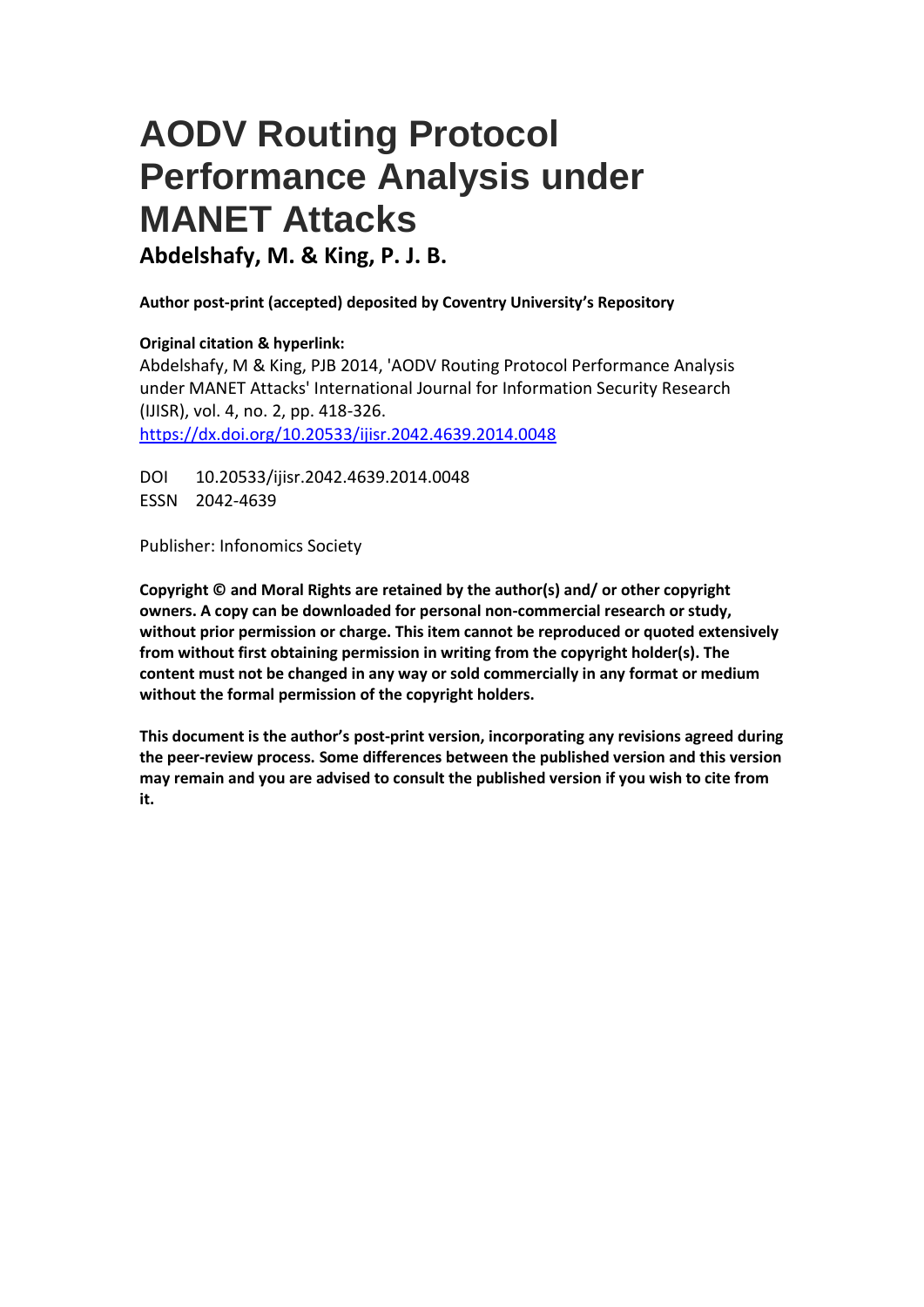# **AODV Routing Protocol Performance Analysis under MANET Attacks**

**Abdelshafy, M. & King, P. J. B.**

**Author post-print (accepted) deposited by Coventry University's Repository**

## **Original citation & hyperlink:**

Abdelshafy, M & King, PJB 2014, 'AODV Routing Protocol Performance Analysis under MANET Attacks' International Journal for Information Security Research (IJISR), vol. 4, no. 2, pp. 418-326. <https://dx.doi.org/10.20533/ijisr.2042.4639.2014.0048>

DOI 10.20533/ijisr.2042.4639.2014.0048 ESSN 2042-4639

Publisher: Infonomics Society

**Copyright © and Moral Rights are retained by the author(s) and/ or other copyright owners. A copy can be downloaded for personal non-commercial research or study, without prior permission or charge. This item cannot be reproduced or quoted extensively from without first obtaining permission in writing from the copyright holder(s). The content must not be changed in any way or sold commercially in any format or medium without the formal permission of the copyright holders.** 

**This document is the author's post-print version, incorporating any revisions agreed during the peer-review process. Some differences between the published version and this version may remain and you are advised to consult the published version if you wish to cite from it.**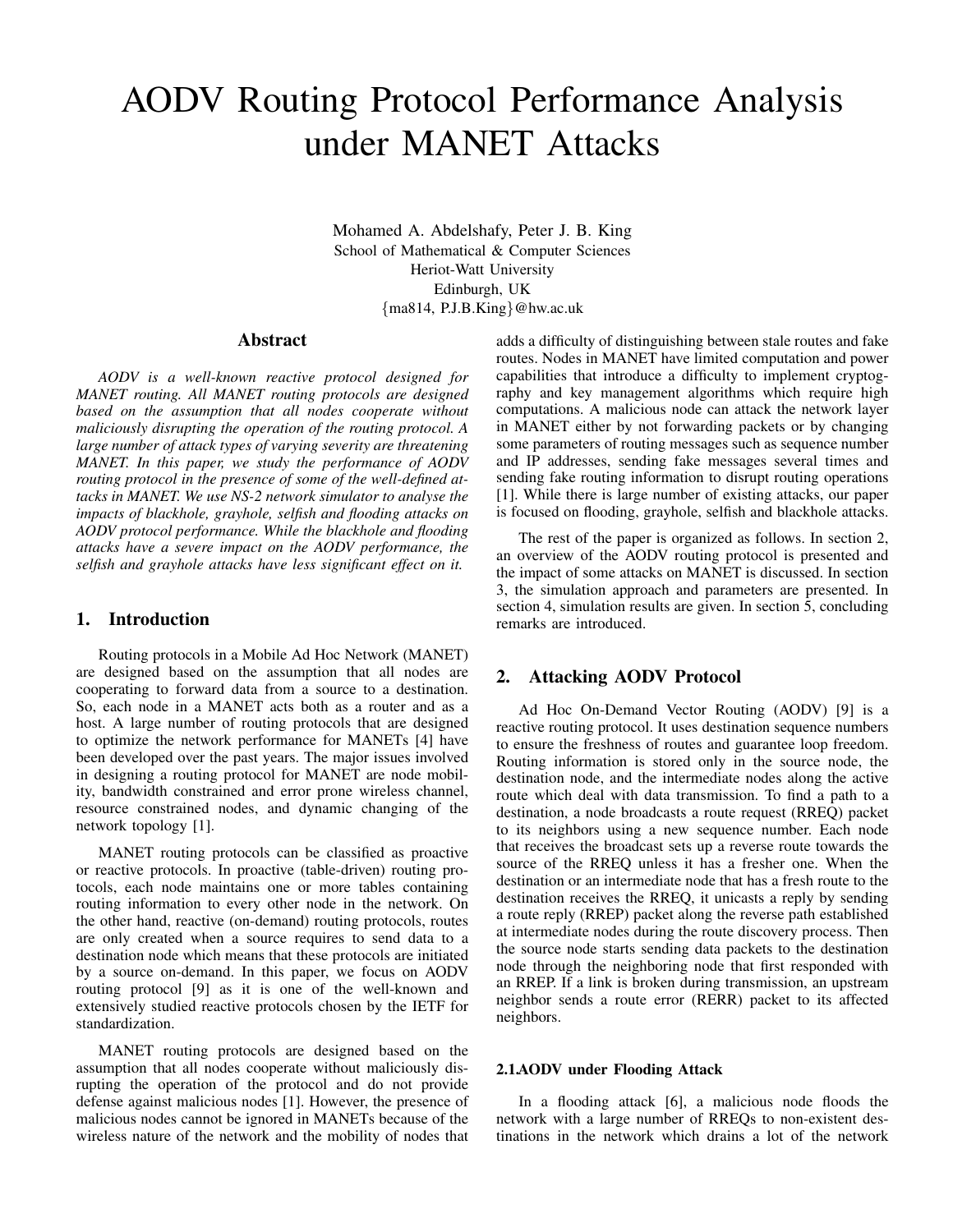# AODV Routing Protocol Performance Analysis under MANET Attacks

Mohamed A. Abdelshafy, Peter J. B. King School of Mathematical & Computer Sciences Heriot-Watt University Edinburgh, UK {ma814, P.J.B.King}@hw.ac.uk

#### Abstract

*AODV is a well-known reactive protocol designed for MANET routing. All MANET routing protocols are designed based on the assumption that all nodes cooperate without maliciously disrupting the operation of the routing protocol. A large number of attack types of varying severity are threatening MANET. In this paper, we study the performance of AODV routing protocol in the presence of some of the well-defined attacks in MANET. We use NS-2 network simulator to analyse the impacts of blackhole, grayhole, selfish and flooding attacks on AODV protocol performance. While the blackhole and flooding attacks have a severe impact on the AODV performance, the selfish and grayhole attacks have less significant effect on it.*

#### 1. Introduction

Routing protocols in a Mobile Ad Hoc Network (MANET) are designed based on the assumption that all nodes are cooperating to forward data from a source to a destination. So, each node in a MANET acts both as a router and as a host. A large number of routing protocols that are designed to optimize the network performance for MANETs [4] have been developed over the past years. The major issues involved in designing a routing protocol for MANET are node mobility, bandwidth constrained and error prone wireless channel, resource constrained nodes, and dynamic changing of the network topology [1].

MANET routing protocols can be classified as proactive or reactive protocols. In proactive (table-driven) routing protocols, each node maintains one or more tables containing routing information to every other node in the network. On the other hand, reactive (on-demand) routing protocols, routes are only created when a source requires to send data to a destination node which means that these protocols are initiated by a source on-demand. In this paper, we focus on AODV routing protocol [9] as it is one of the well-known and extensively studied reactive protocols chosen by the IETF for standardization.

MANET routing protocols are designed based on the assumption that all nodes cooperate without maliciously disrupting the operation of the protocol and do not provide defense against malicious nodes [1]. However, the presence of malicious nodes cannot be ignored in MANETs because of the wireless nature of the network and the mobility of nodes that adds a difficulty of distinguishing between stale routes and fake routes. Nodes in MANET have limited computation and power capabilities that introduce a difficulty to implement cryptography and key management algorithms which require high computations. A malicious node can attack the network layer in MANET either by not forwarding packets or by changing some parameters of routing messages such as sequence number and IP addresses, sending fake messages several times and sending fake routing information to disrupt routing operations [1]. While there is large number of existing attacks, our paper is focused on flooding, grayhole, selfish and blackhole attacks.

The rest of the paper is organized as follows. In section 2, an overview of the AODV routing protocol is presented and the impact of some attacks on MANET is discussed. In section 3, the simulation approach and parameters are presented. In section 4, simulation results are given. In section 5, concluding remarks are introduced.

### 2. Attacking AODV Protocol

Ad Hoc On-Demand Vector Routing (AODV) [9] is a reactive routing protocol. It uses destination sequence numbers to ensure the freshness of routes and guarantee loop freedom. Routing information is stored only in the source node, the destination node, and the intermediate nodes along the active route which deal with data transmission. To find a path to a destination, a node broadcasts a route request (RREQ) packet to its neighbors using a new sequence number. Each node that receives the broadcast sets up a reverse route towards the source of the RREQ unless it has a fresher one. When the destination or an intermediate node that has a fresh route to the destination receives the RREQ, it unicasts a reply by sending a route reply (RREP) packet along the reverse path established at intermediate nodes during the route discovery process. Then the source node starts sending data packets to the destination node through the neighboring node that first responded with an RREP. If a link is broken during transmission, an upstream neighbor sends a route error (RERR) packet to its affected neighbors.

#### 2.1.AODV under Flooding Attack

In a flooding attack [6], a malicious node floods the network with a large number of RREQs to non-existent destinations in the network which drains a lot of the network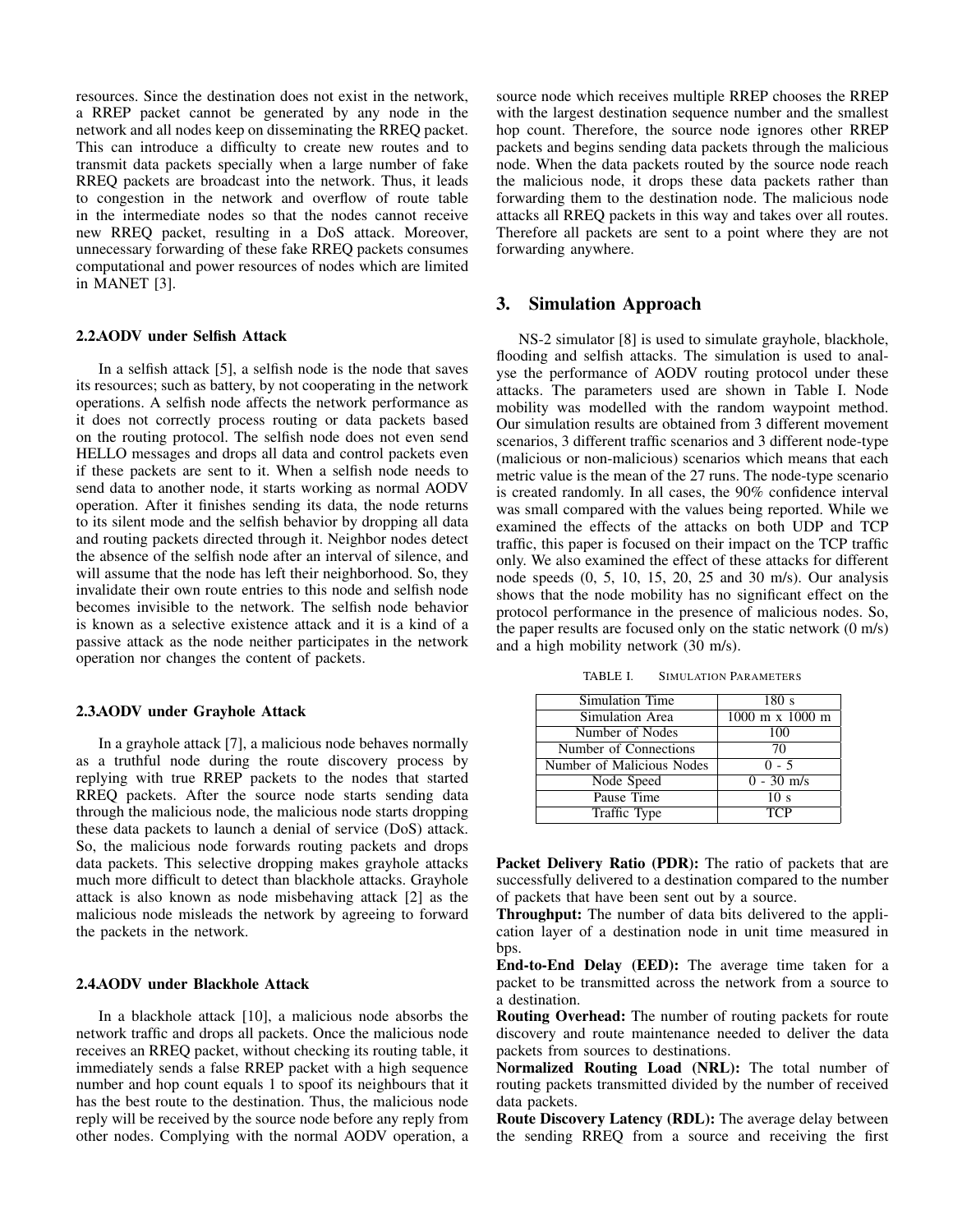resources. Since the destination does not exist in the network, a RREP packet cannot be generated by any node in the network and all nodes keep on disseminating the RREQ packet. This can introduce a difficulty to create new routes and to transmit data packets specially when a large number of fake RREQ packets are broadcast into the network. Thus, it leads to congestion in the network and overflow of route table in the intermediate nodes so that the nodes cannot receive new RREQ packet, resulting in a DoS attack. Moreover, unnecessary forwarding of these fake RREQ packets consumes computational and power resources of nodes which are limited in MANET [3].

#### 2.2.AODV under Selfish Attack

In a selfish attack [5], a selfish node is the node that saves its resources; such as battery, by not cooperating in the network operations. A selfish node affects the network performance as it does not correctly process routing or data packets based on the routing protocol. The selfish node does not even send HELLO messages and drops all data and control packets even if these packets are sent to it. When a selfish node needs to send data to another node, it starts working as normal AODV operation. After it finishes sending its data, the node returns to its silent mode and the selfish behavior by dropping all data and routing packets directed through it. Neighbor nodes detect the absence of the selfish node after an interval of silence, and will assume that the node has left their neighborhood. So, they invalidate their own route entries to this node and selfish node becomes invisible to the network. The selfish node behavior is known as a selective existence attack and it is a kind of a passive attack as the node neither participates in the network operation nor changes the content of packets.

#### 2.3.AODV under Grayhole Attack

In a grayhole attack [7], a malicious node behaves normally as a truthful node during the route discovery process by replying with true RREP packets to the nodes that started RREQ packets. After the source node starts sending data through the malicious node, the malicious node starts dropping these data packets to launch a denial of service (DoS) attack. So, the malicious node forwards routing packets and drops data packets. This selective dropping makes grayhole attacks much more difficult to detect than blackhole attacks. Grayhole attack is also known as node misbehaving attack [2] as the malicious node misleads the network by agreeing to forward the packets in the network.

#### 2.4.AODV under Blackhole Attack

In a blackhole attack [10], a malicious node absorbs the network traffic and drops all packets. Once the malicious node receives an RREQ packet, without checking its routing table, it immediately sends a false RREP packet with a high sequence number and hop count equals 1 to spoof its neighbours that it has the best route to the destination. Thus, the malicious node reply will be received by the source node before any reply from other nodes. Complying with the normal AODV operation, a source node which receives multiple RREP chooses the RREP with the largest destination sequence number and the smallest hop count. Therefore, the source node ignores other RREP packets and begins sending data packets through the malicious node. When the data packets routed by the source node reach the malicious node, it drops these data packets rather than forwarding them to the destination node. The malicious node attacks all RREQ packets in this way and takes over all routes. Therefore all packets are sent to a point where they are not forwarding anywhere.

#### 3. Simulation Approach

NS-2 simulator [8] is used to simulate grayhole, blackhole, flooding and selfish attacks. The simulation is used to analyse the performance of AODV routing protocol under these attacks. The parameters used are shown in Table I. Node mobility was modelled with the random waypoint method. Our simulation results are obtained from 3 different movement scenarios, 3 different traffic scenarios and 3 different node-type (malicious or non-malicious) scenarios which means that each metric value is the mean of the 27 runs. The node-type scenario is created randomly. In all cases, the 90% confidence interval was small compared with the values being reported. While we examined the effects of the attacks on both UDP and TCP traffic, this paper is focused on their impact on the TCP traffic only. We also examined the effect of these attacks for different node speeds (0, 5, 10, 15, 20, 25 and 30 m/s). Our analysis shows that the node mobility has no significant effect on the protocol performance in the presence of malicious nodes. So, the paper results are focused only on the static network (0 m/s) and a high mobility network (30 m/s).

TABLE I. SIMULATION PARAMETERS

| Simulation Time           | 180s                                   |
|---------------------------|----------------------------------------|
| Simulation Area           | $1000 \text{ m} \times 1000 \text{ m}$ |
| Number of Nodes           | 100                                    |
| Number of Connections     | 70                                     |
| Number of Malicious Nodes | $0 - 5$                                |
| Node Speed                | $0 - 30$ m/s                           |
| Pause Time                | 10 <sub>s</sub>                        |
| Traffic Type              | <b>TCP</b>                             |

Packet Delivery Ratio (PDR): The ratio of packets that are successfully delivered to a destination compared to the number of packets that have been sent out by a source.

Throughput: The number of data bits delivered to the application layer of a destination node in unit time measured in bps.

End-to-End Delay (EED): The average time taken for a packet to be transmitted across the network from a source to a destination.

Routing Overhead: The number of routing packets for route discovery and route maintenance needed to deliver the data packets from sources to destinations.

Normalized Routing Load (NRL): The total number of routing packets transmitted divided by the number of received data packets.

Route Discovery Latency (RDL): The average delay between the sending RREQ from a source and receiving the first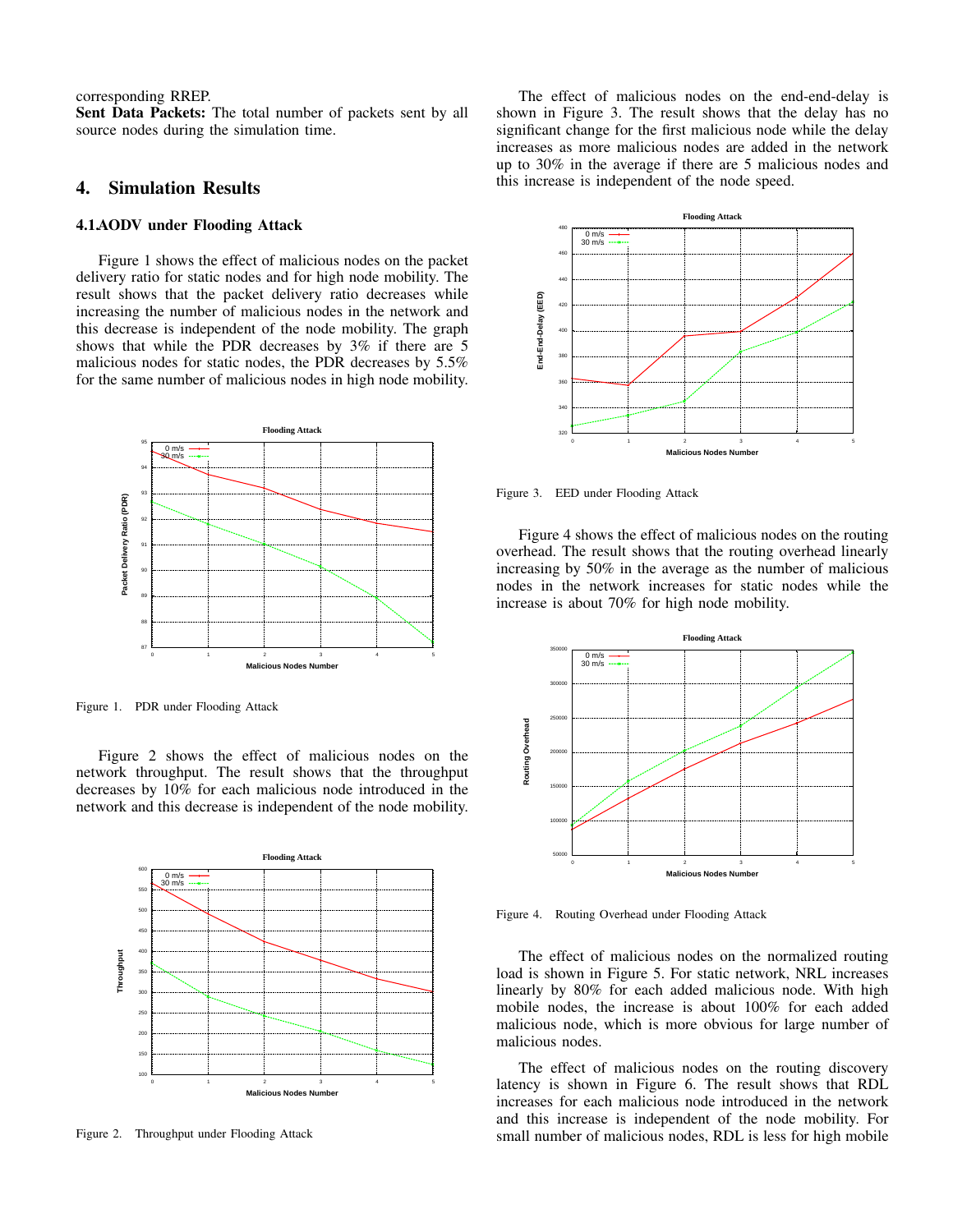corresponding RREP.

Sent Data Packets: The total number of packets sent by all source nodes during the simulation time.

#### 4. Simulation Results

#### 4.1.AODV under Flooding Attack

Figure 1 shows the effect of malicious nodes on the packet delivery ratio for static nodes and for high node mobility. The result shows that the packet delivery ratio decreases while increasing the number of malicious nodes in the network and this decrease is independent of the node mobility. The graph shows that while the PDR decreases by 3% if there are 5 malicious nodes for static nodes, the PDR decreases by 5.5% for the same number of malicious nodes in high node mobility.



Figure 1. PDR under Flooding Attack

Figure 2 shows the effect of malicious nodes on the network throughput. The result shows that the throughput decreases by 10% for each malicious node introduced in the network and this decrease is independent of the node mobility.



Figure 2. Throughput under Flooding Attack

The effect of malicious nodes on the end-end-delay is shown in Figure 3. The result shows that the delay has no significant change for the first malicious node while the delay increases as more malicious nodes are added in the network up to 30% in the average if there are 5 malicious nodes and this increase is independent of the node speed.



Figure 3. EED under Flooding Attack

Figure 4 shows the effect of malicious nodes on the routing overhead. The result shows that the routing overhead linearly increasing by 50% in the average as the number of malicious nodes in the network increases for static nodes while the increase is about 70% for high node mobility.



Figure 4. Routing Overhead under Flooding Attack

The effect of malicious nodes on the normalized routing load is shown in Figure 5. For static network, NRL increases linearly by 80% for each added malicious node. With high mobile nodes, the increase is about 100% for each added malicious node, which is more obvious for large number of malicious nodes.

The effect of malicious nodes on the routing discovery latency is shown in Figure 6. The result shows that RDL increases for each malicious node introduced in the network and this increase is independent of the node mobility. For small number of malicious nodes, RDL is less for high mobile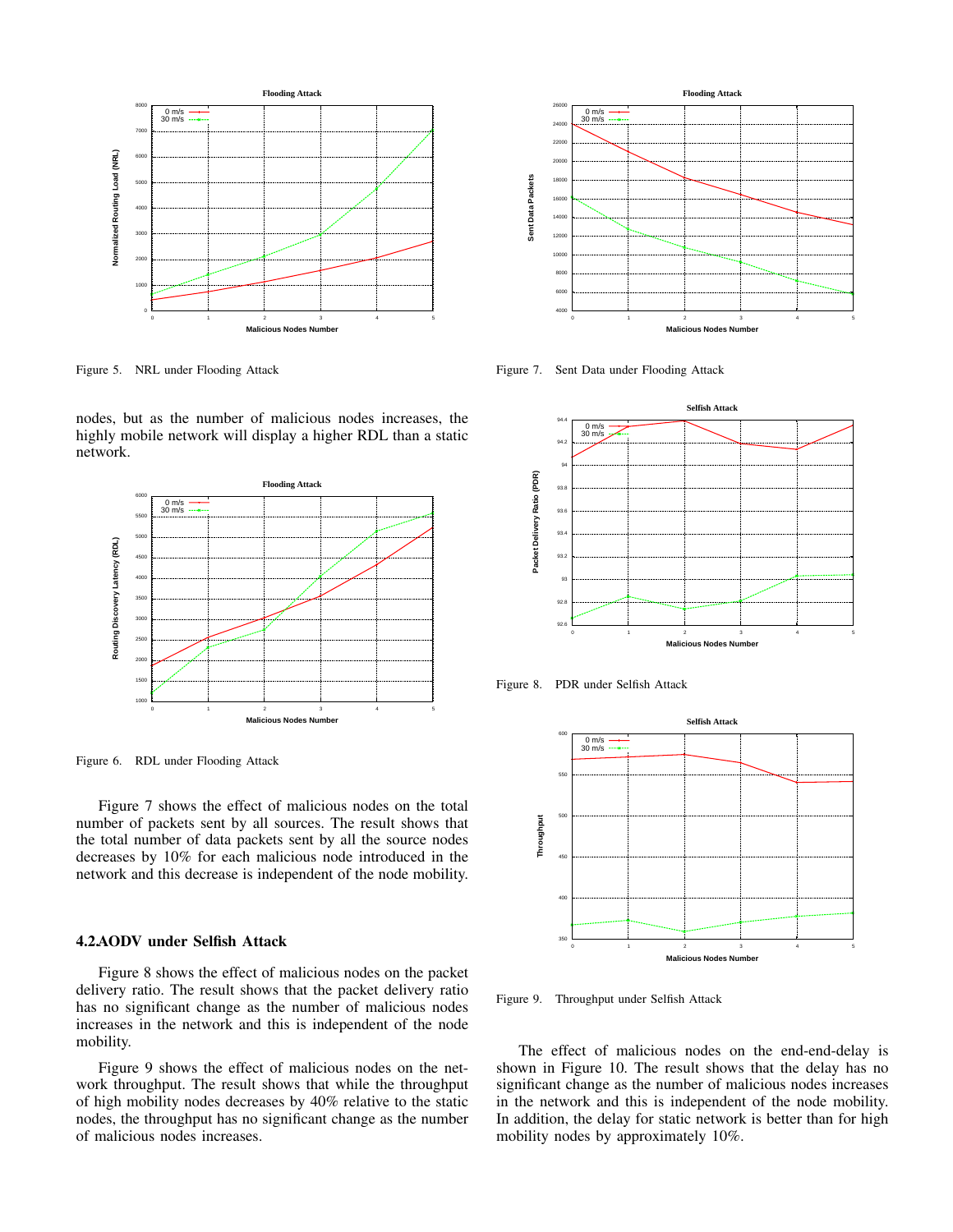

Figure 5. NRL under Flooding Attack

nodes, but as the number of malicious nodes increases, the highly mobile network will display a higher RDL than a static network.



Figure 6. RDL under Flooding Attack

Figure 7 shows the effect of malicious nodes on the total number of packets sent by all sources. The result shows that the total number of data packets sent by all the source nodes decreases by 10% for each malicious node introduced in the network and this decrease is independent of the node mobility.

#### 4.2.AODV under Selfish Attack

Figure 8 shows the effect of malicious nodes on the packet delivery ratio. The result shows that the packet delivery ratio has no significant change as the number of malicious nodes increases in the network and this is independent of the node mobility.

Figure 9 shows the effect of malicious nodes on the network throughput. The result shows that while the throughput of high mobility nodes decreases by 40% relative to the static nodes, the throughput has no significant change as the number of malicious nodes increases.



Figure 7. Sent Data under Flooding Attack



Figure 8. PDR under Selfish Attack



Figure 9. Throughput under Selfish Attack

The effect of malicious nodes on the end-end-delay is shown in Figure 10. The result shows that the delay has no significant change as the number of malicious nodes increases in the network and this is independent of the node mobility. In addition, the delay for static network is better than for high mobility nodes by approximately 10%.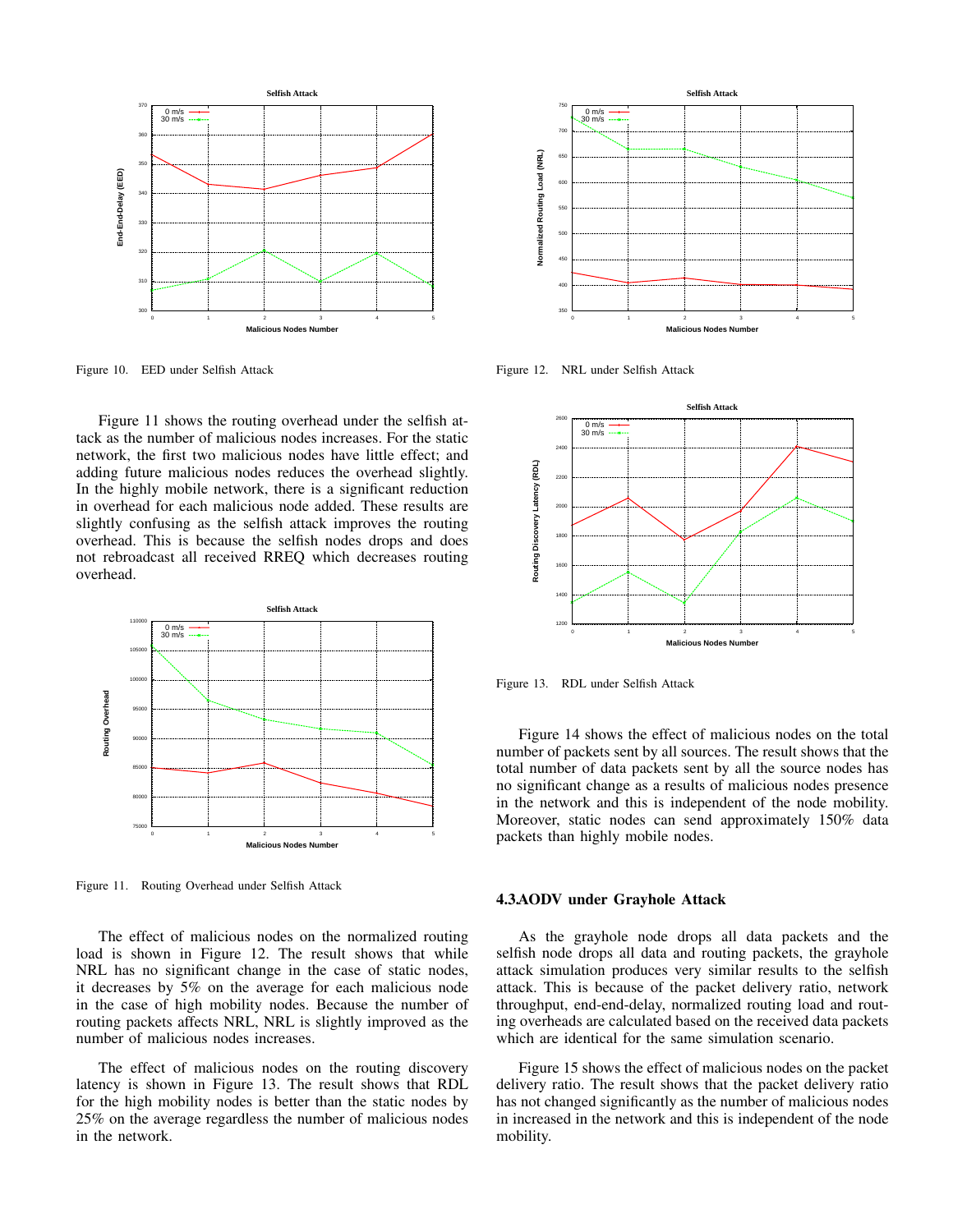

Figure 10. EED under Selfish Attack

Figure 11 shows the routing overhead under the selfish attack as the number of malicious nodes increases. For the static network, the first two malicious nodes have little effect; and adding future malicious nodes reduces the overhead slightly. In the highly mobile network, there is a significant reduction in overhead for each malicious node added. These results are slightly confusing as the selfish attack improves the routing overhead. This is because the selfish nodes drops and does not rebroadcast all received RREQ which decreases routing overhead.



Figure 11. Routing Overhead under Selfish Attack

The effect of malicious nodes on the normalized routing load is shown in Figure 12. The result shows that while NRL has no significant change in the case of static nodes, it decreases by 5% on the average for each malicious node in the case of high mobility nodes. Because the number of routing packets affects NRL, NRL is slightly improved as the number of malicious nodes increases.

The effect of malicious nodes on the routing discovery latency is shown in Figure 13. The result shows that RDL for the high mobility nodes is better than the static nodes by 25% on the average regardless the number of malicious nodes in the network.



Figure 12. NRL under Selfish Attack



Figure 13. RDL under Selfish Attack

Figure 14 shows the effect of malicious nodes on the total number of packets sent by all sources. The result shows that the total number of data packets sent by all the source nodes has no significant change as a results of malicious nodes presence in the network and this is independent of the node mobility. Moreover, static nodes can send approximately 150% data packets than highly mobile nodes.

#### 4.3.AODV under Grayhole Attack

As the grayhole node drops all data packets and the selfish node drops all data and routing packets, the grayhole attack simulation produces very similar results to the selfish attack. This is because of the packet delivery ratio, network throughput, end-end-delay, normalized routing load and routing overheads are calculated based on the received data packets which are identical for the same simulation scenario.

Figure 15 shows the effect of malicious nodes on the packet delivery ratio. The result shows that the packet delivery ratio has not changed significantly as the number of malicious nodes in increased in the network and this is independent of the node mobility.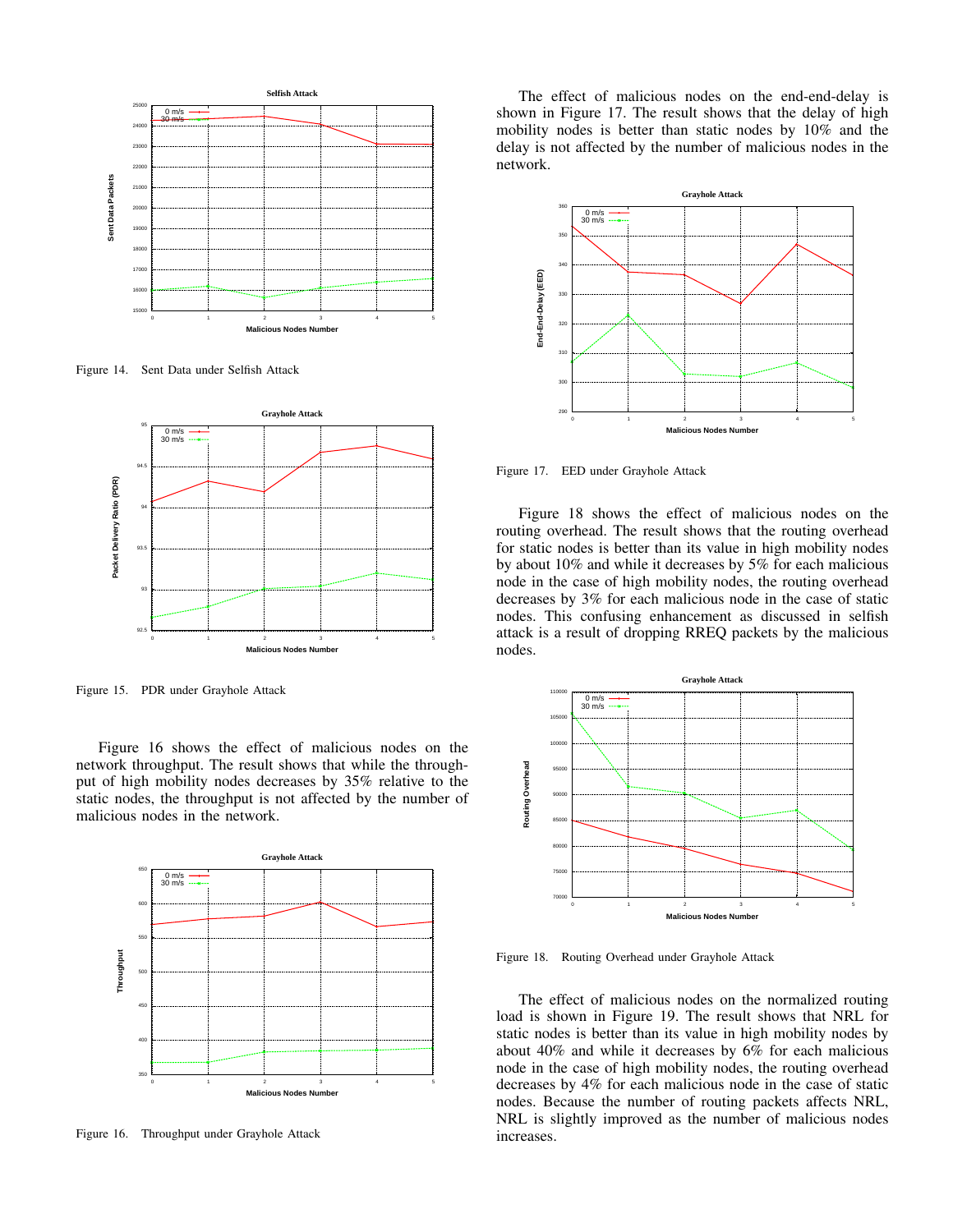

Figure 14. Sent Data under Selfish Attack



Figure 15. PDR under Grayhole Attack

Figure 16 shows the effect of malicious nodes on the network throughput. The result shows that while the throughput of high mobility nodes decreases by 35% relative to the static nodes, the throughput is not affected by the number of malicious nodes in the network.



Figure 16. Throughput under Grayhole Attack

The effect of malicious nodes on the end-end-delay is shown in Figure 17. The result shows that the delay of high mobility nodes is better than static nodes by 10% and the delay is not affected by the number of malicious nodes in the network.



Figure 17. EED under Grayhole Attack

Figure 18 shows the effect of malicious nodes on the routing overhead. The result shows that the routing overhead for static nodes is better than its value in high mobility nodes by about 10% and while it decreases by 5% for each malicious node in the case of high mobility nodes, the routing overhead decreases by 3% for each malicious node in the case of static nodes. This confusing enhancement as discussed in selfish attack is a result of dropping RREQ packets by the malicious nodes.



Figure 18. Routing Overhead under Grayhole Attack

The effect of malicious nodes on the normalized routing load is shown in Figure 19. The result shows that NRL for static nodes is better than its value in high mobility nodes by about 40% and while it decreases by 6% for each malicious node in the case of high mobility nodes, the routing overhead decreases by 4% for each malicious node in the case of static nodes. Because the number of routing packets affects NRL, NRL is slightly improved as the number of malicious nodes increases.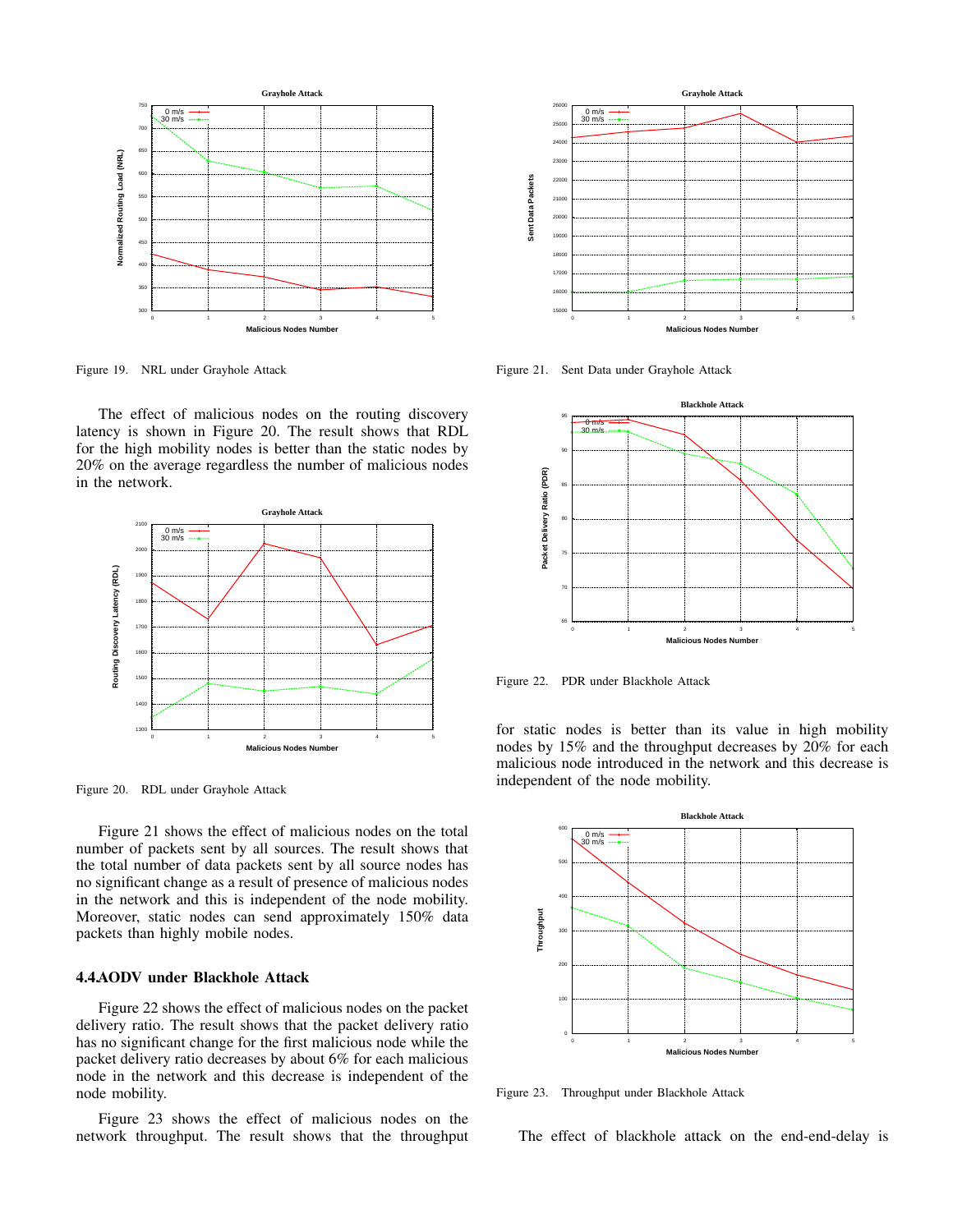

Figure 19. NRL under Grayhole Attack

The effect of malicious nodes on the routing discovery latency is shown in Figure 20. The result shows that RDL for the high mobility nodes is better than the static nodes by 20% on the average regardless the number of malicious nodes in the network.



Figure 20. RDL under Grayhole Attack

Figure 21 shows the effect of malicious nodes on the total number of packets sent by all sources. The result shows that the total number of data packets sent by all source nodes has no significant change as a result of presence of malicious nodes in the network and this is independent of the node mobility. Moreover, static nodes can send approximately 150% data packets than highly mobile nodes.

#### 4.4.AODV under Blackhole Attack

Figure 22 shows the effect of malicious nodes on the packet delivery ratio. The result shows that the packet delivery ratio has no significant change for the first malicious node while the packet delivery ratio decreases by about 6% for each malicious node in the network and this decrease is independent of the node mobility.

Figure 23 shows the effect of malicious nodes on the network throughput. The result shows that the throughput



Figure 21. Sent Data under Grayhole Attack



Figure 22. PDR under Blackhole Attack

for static nodes is better than its value in high mobility nodes by 15% and the throughput decreases by 20% for each malicious node introduced in the network and this decrease is independent of the node mobility.



Figure 23. Throughput under Blackhole Attack

The effect of blackhole attack on the end-end-delay is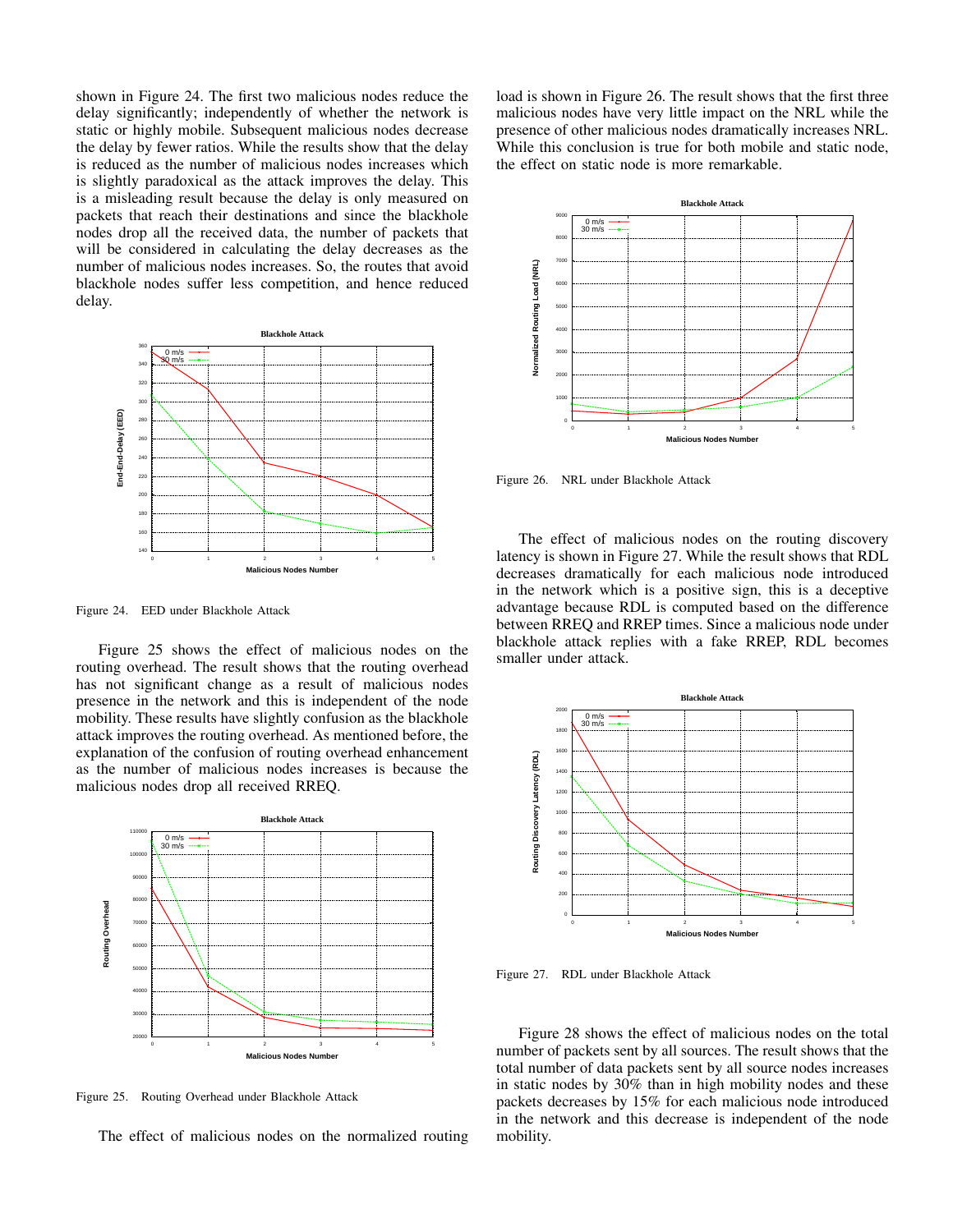shown in Figure 24. The first two malicious nodes reduce the delay significantly; independently of whether the network is static or highly mobile. Subsequent malicious nodes decrease the delay by fewer ratios. While the results show that the delay is reduced as the number of malicious nodes increases which is slightly paradoxical as the attack improves the delay. This is a misleading result because the delay is only measured on packets that reach their destinations and since the blackhole nodes drop all the received data, the number of packets that will be considered in calculating the delay decreases as the number of malicious nodes increases. So, the routes that avoid blackhole nodes suffer less competition, and hence reduced delay.



Figure 24. EED under Blackhole Attack

Figure 25 shows the effect of malicious nodes on the routing overhead. The result shows that the routing overhead has not significant change as a result of malicious nodes presence in the network and this is independent of the node mobility. These results have slightly confusion as the blackhole attack improves the routing overhead. As mentioned before, the explanation of the confusion of routing overhead enhancement as the number of malicious nodes increases is because the malicious nodes drop all received RREQ.



Figure 25. Routing Overhead under Blackhole Attack

The effect of malicious nodes on the normalized routing

load is shown in Figure 26. The result shows that the first three malicious nodes have very little impact on the NRL while the presence of other malicious nodes dramatically increases NRL. While this conclusion is true for both mobile and static node, the effect on static node is more remarkable.



Figure 26. NRL under Blackhole Attack

The effect of malicious nodes on the routing discovery latency is shown in Figure 27. While the result shows that RDL decreases dramatically for each malicious node introduced in the network which is a positive sign, this is a deceptive advantage because RDL is computed based on the difference between RREQ and RREP times. Since a malicious node under blackhole attack replies with a fake RREP, RDL becomes smaller under attack.



Figure 27. RDL under Blackhole Attack

Figure 28 shows the effect of malicious nodes on the total number of packets sent by all sources. The result shows that the total number of data packets sent by all source nodes increases in static nodes by 30% than in high mobility nodes and these packets decreases by 15% for each malicious node introduced in the network and this decrease is independent of the node mobility.